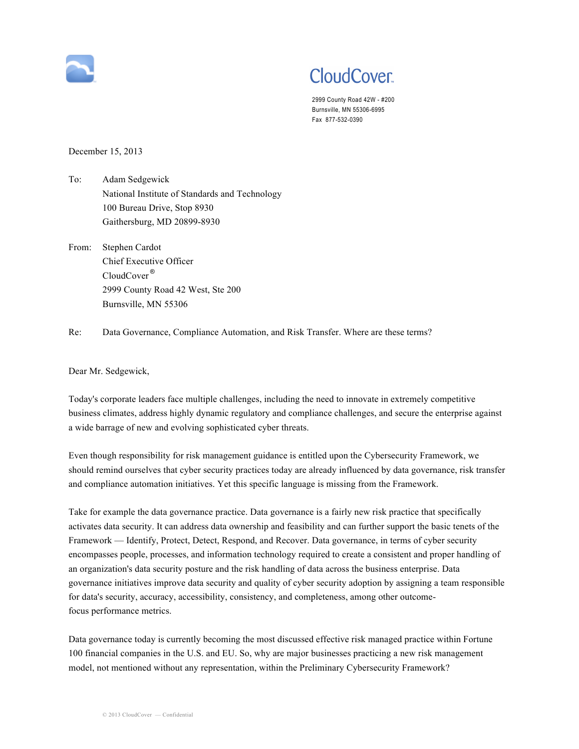

## **CloudCover**

 2999 County Road 42W - #200 Burnsville, MN 55306-6995 Fax 877-532-0390

December 15, 2013

 National Institute of Standards and Technology Gaithersburg, MD 20899-8930 To: Adam Sedgewick 100 Bureau Drive, Stop 8930

 Chief Executive Officer CloudCover® 2999 County Road 42 West, Ste 200 Burnsville, MN 55306 From: Stephen Cardot

Re: Data Governance, Compliance Automation, and Risk Transfer. Where are these terms?

Dear Mr. Sedgewick,

 Today's corporate leaders face multiple challenges, including the need to innovate in extremely competitive business climates, address highly dynamic regulatory and compliance challenges, and secure the enterprise against a wide barrage of new and evolving sophisticated cyber threats.

 Even though responsibility for risk management guidance is entitled upon the Cybersecurity Framework, we should remind ourselves that cyber security practices today are already influenced by data governance, risk transfer and compliance automation initiatives. Yet this specific language is missing from the Framework.

 Take for example the data governance practice. Data governance is a fairly new risk practice that specifically activates data security. It can address data ownership and feasibility and can further support the basic tenets of the encompasses people, processes, and information technology required to create a consistent and proper handling of an organization's data security posture and the risk handling of data across the business enterprise. Data governance initiatives improve data security and quality of cyber security adoption by assigning a team responsible for data's security, accuracy, accessibility, consistency, and completeness, among other outcome-Framework — Identify, Protect, Detect, Respond, and Recover. Data governance, in terms of cyber security focus performance metrics.

 Data governance today is currently becoming the most discussed effective risk managed practice within Fortune 100 financial companies in the U.S. and EU. So, why are major businesses practicing a new risk management model, not mentioned without any representation, within the Preliminary Cybersecurity Framework?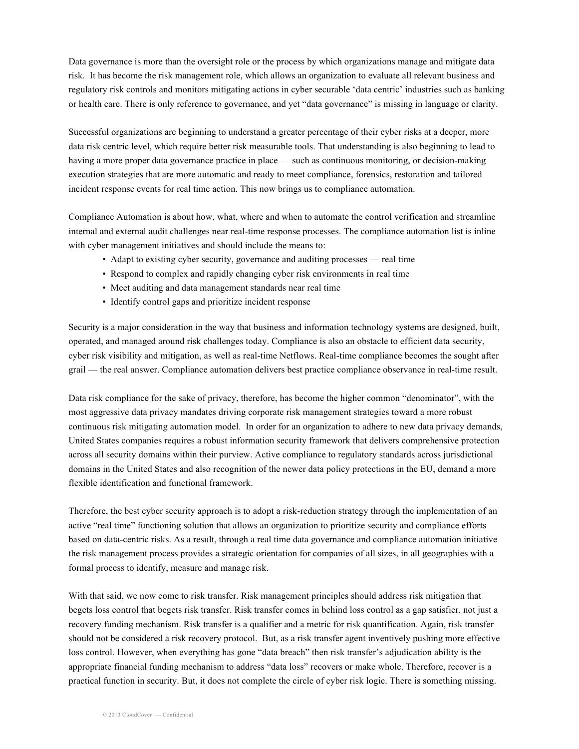Data governance is more than the oversight role or the process by which organizations manage and mitigate data risk. It has become the risk management role, which allows an organization to evaluate all relevant business and regulatory risk controls and monitors mitigating actions in cyber securable 'data centric' industries such as banking or health care. There is only reference to governance, and yet "data governance" is missing in language or clarity.

 Successful organizations are beginning to understand a greater percentage of their cyber risks at a deeper, more data risk centric level, which require better risk measurable tools. That understanding is also beginning to lead to having a more proper data governance practice in place — such as continuous monitoring, or decision-making execution strategies that are more automatic and ready to meet compliance, forensics, restoration and tailored incident response events for real time action. This now brings us to compliance automation.

 Compliance Automation is about how, what, where and when to automate the control verification and streamline internal and external audit challenges near real-time response processes. The compliance automation list is inline with cyber management initiatives and should include the means to:

- Adapt to existing cyber security, governance and auditing processes real time
- Respond to complex and rapidly changing cyber risk environments in real time
- Meet auditing and data management standards near real time
- Identify control gaps and prioritize incident response

 Security is a major consideration in the way that business and information technology systems are designed, built, operated, and managed around risk challenges today. Compliance is also an obstacle to efficient data security, cyber risk visibility and mitigation, as well as real-time Netflows. Real-time compliance becomes the sought after grail — the real answer. Compliance automation delivers best practice compliance observance in real-time result.

 Data risk compliance for the sake of privacy, therefore, has become the higher common "denominator", with the most aggressive data privacy mandates driving corporate risk management strategies toward a more robust continuous risk mitigating automation model. In order for an organization to adhere to new data privacy demands, United States companies requires a robust information security framework that delivers comprehensive protection across all security domains within their purview. Active compliance to regulatory standards across jurisdictional domains in the United States and also recognition of the newer data policy protections in the EU, demand a more flexible identification and functional framework.

 Therefore, the best cyber security approach is to adopt a risk-reduction strategy through the implementation of an active "real time" functioning solution that allows an organization to prioritize security and compliance efforts based on data-centric risks. As a result, through a real time data governance and compliance automation initiative the risk management process provides a strategic orientation for companies of all sizes, in all geographies with a formal process to identify, measure and manage risk.

 With that said, we now come to risk transfer. Risk management principles should address risk mitigation that begets loss control that begets risk transfer. Risk transfer comes in behind loss control as a gap satisfier, not just a recovery funding mechanism. Risk transfer is a qualifier and a metric for risk quantification. Again, risk transfer should not be considered a risk recovery protocol. But, as a risk transfer agent inventively pushing more effective appropriate financial funding mechanism to address "data loss" recovers or make whole. Therefore, recover is a practical function in security. But, it does not complete the circle of cyber risk logic. There is something missing. loss control. However, when everything has gone "data breach" then risk transfer's adjudication ability is the